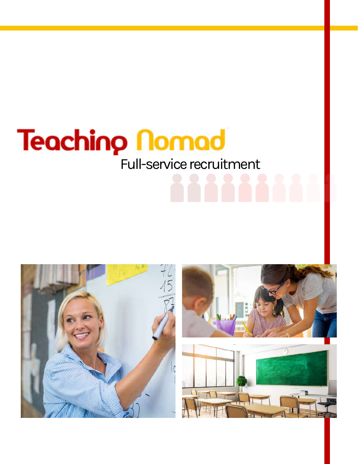# **Teaching Nomad** Full-service recruitment

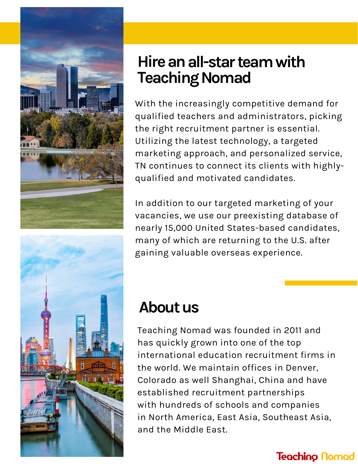



### **Hireanall-starteamwith Teaching Nomad**

With the increasingly competitive demand for qualified teachers and administrators, picking the right recruitment partner is essential. Utilizing the latest technology, a targeted marketing approach, and personalized service, TN continues to connect its clients with highlyqualified and motivated candidates.

In addition to our targeted marketing of your vacancies, we use our preexisting database of nearly 15,000 United States-based candidates, many of which are returning to the U.S. after gaining valuable overseas experience.

## **Aboutus**

Teaching Nomad was founded in 2011 and has quickly grown into one of the top international education recruitment firms in the world. We maintain offices in Denver, Colorado as well Shanghai, China and have established recruitment partnerships with hundreds of schools and companies in North America, East Asia, Southeast Asia, and the Middle East.

#### **Teachino Nomad**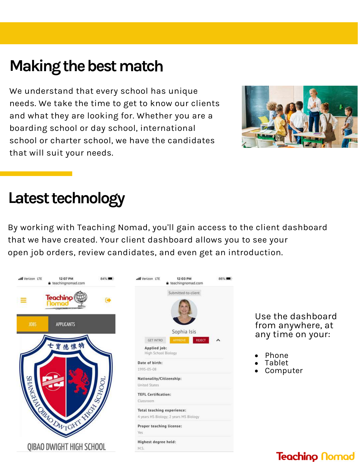## **Making the best match**

We understand that every school has unique needs. We take the time to get to know our clients and what they are looking for. Whether you are a boarding school or day school, international school or charter school, we have the candidates that will suit your needs.



### Latest technology

By working with Teaching Nomad, you'll gain access to the client dashboard that we have created. Your client dashboard allows you to see your open job orders, review candidates, and even get an introduction.



Use the dashboard from anywhere, at any time on your:

- Phone
- Tablet
- Computer

#### **Teachino Nomad**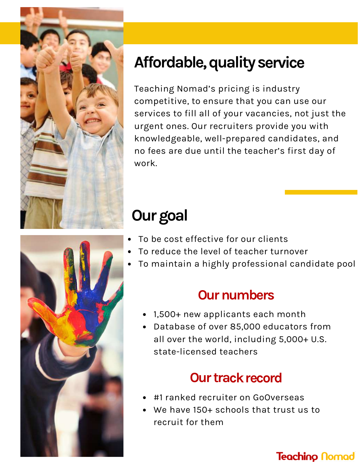

## **Affordable,qualityservice**

Teaching Nomad's pricing is industry competitive, to ensure that you can use our services to fill all of your vacancies, not just the urgent ones. Our recruiters provide you with knowledgeable, well-prepared candidates, and no fees are due until the teacher's first day of work.

## **Ourgoal**

- To be cost effective for our clients
- To reduce the level of teacher turnover
- To maintain a highly professional candidate pool

### **Our numbers**

- 1,500+ new applicants each month
- Database of over 85,000 educators from all over the world, including 5,000+ U.S. state-licensed teachers

### **Our track record**

- #1 ranked recruiter on GoOverseas
- We have 150+ schools that trust us to recruit for them

#### **Teaching Nomad**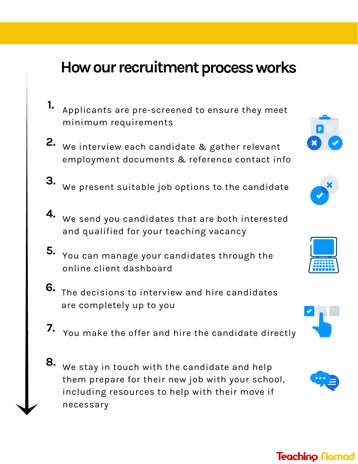### **How our recruitment process works**

- Applicants are pre-screened to ensure they meet minimum requirements **1.**
- We interview each candidate & gather relevant **2.** employment documents & reference contact info
- We present suitable job options to the candidate **3.**
- We send you candidates that are both interested **4.** and qualified for your teaching vacancy
- You can manage your candidates through the **5.** online client dashboard
- The decisions to interview and hire candidates **6.**are completely up to you
- **7.** You make the offer and hire the candidate directly
- We stay in touch with the candidate and help **8.** them prepare for their new job with your school, including resources to help with their move if necessary











#### **Teachino Nomad**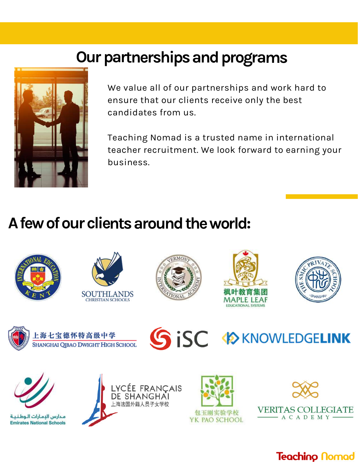## **Our partnerships and programs**



We value all of our partnerships and work hard to ensure that our clients receive only the best candidates from us.

Teaching Nomad is a trusted name in international teacher recruitment. We look forward to earning your business.

## **Afewofourclientsaroundtheworld:**



مدارس البمارات الوطنية **Emirates National Schools** 





VERITAS COLLEGIATE

**Teachino Nomad** 

 $-$  A C A D E M Y -